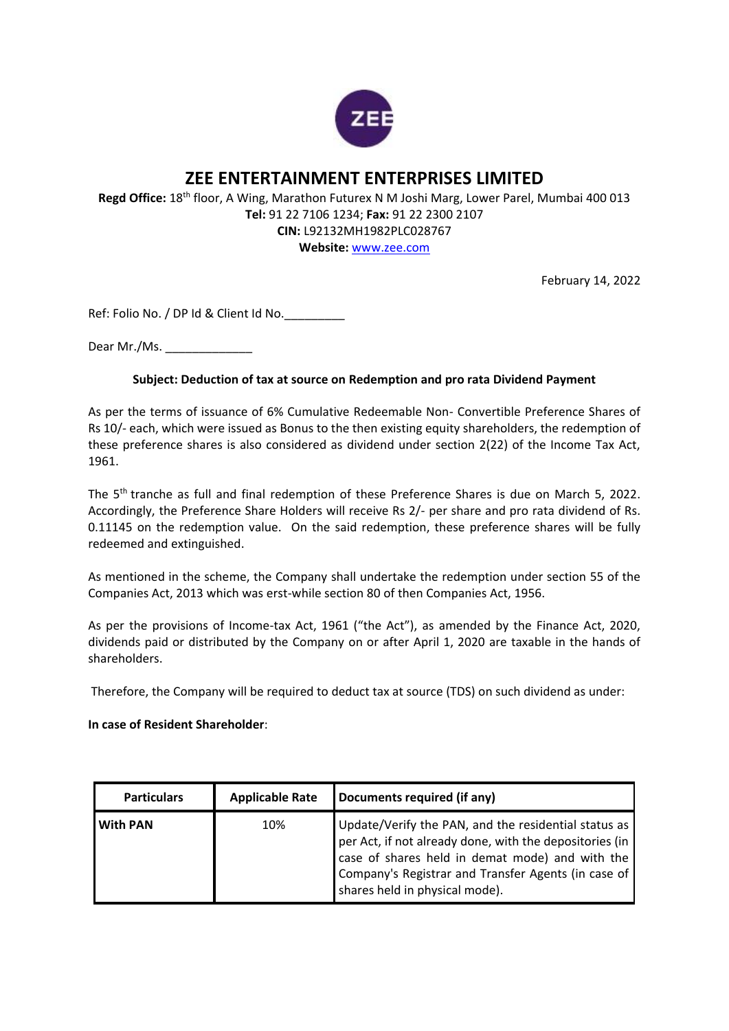

## **ZEE ENTERTAINMENT ENTERPRISES LIMITED**

**Regd Office:** 18th floor, A Wing, Marathon Futurex N M Joshi Marg, Lower Parel, Mumbai 400 013 **Tel:** 91 22 7106 1234; **Fax:** 91 22 2300 2107 **CIN:** L92132MH1982PLC028767

**Website:** [www.zee.com](http://www.zee.com/)

February 14, 2022

Ref: Folio No. / DP Id & Client Id No.\_\_\_\_\_\_\_\_\_

Dear Mr./Ms.

## **Subject: Deduction of tax at source on Redemption and pro rata Dividend Payment**

As per the terms of issuance of 6% Cumulative Redeemable Non- Convertible Preference Shares of Rs 10/- each, which were issued as Bonus to the then existing equity shareholders, the redemption of these preference shares is also considered as dividend under section 2(22) of the Income Tax Act, 1961.

The 5th tranche as full and final redemption of these Preference Shares is due on March 5, 2022. Accordingly, the Preference Share Holders will receive Rs 2/- per share and pro rata dividend of Rs. 0.11145 on the redemption value. On the said redemption, these preference shares will be fully redeemed and extinguished.

As mentioned in the scheme, the Company shall undertake the redemption under section 55 of the Companies Act, 2013 which was erst-while section 80 of then Companies Act, 1956.

As per the provisions of Income-tax Act, 1961 ("the Act"), as amended by the Finance Act, 2020, dividends paid or distributed by the Company on or after April 1, 2020 are taxable in the hands of shareholders.

Therefore, the Company will be required to deduct tax at source (TDS) on such dividend as under:

**In case of Resident Shareholder**:

| <b>Particulars</b> | <b>Applicable Rate</b> | Documents required (if any)                                                                                                                                                                                                                              |
|--------------------|------------------------|----------------------------------------------------------------------------------------------------------------------------------------------------------------------------------------------------------------------------------------------------------|
| <b>With PAN</b>    | 10%                    | Update/Verify the PAN, and the residential status as<br>per Act, if not already done, with the depositories (in case of shares held in demat mode) and with the<br>Company's Registrar and Transfer Agents (in case of<br>shares held in physical mode). |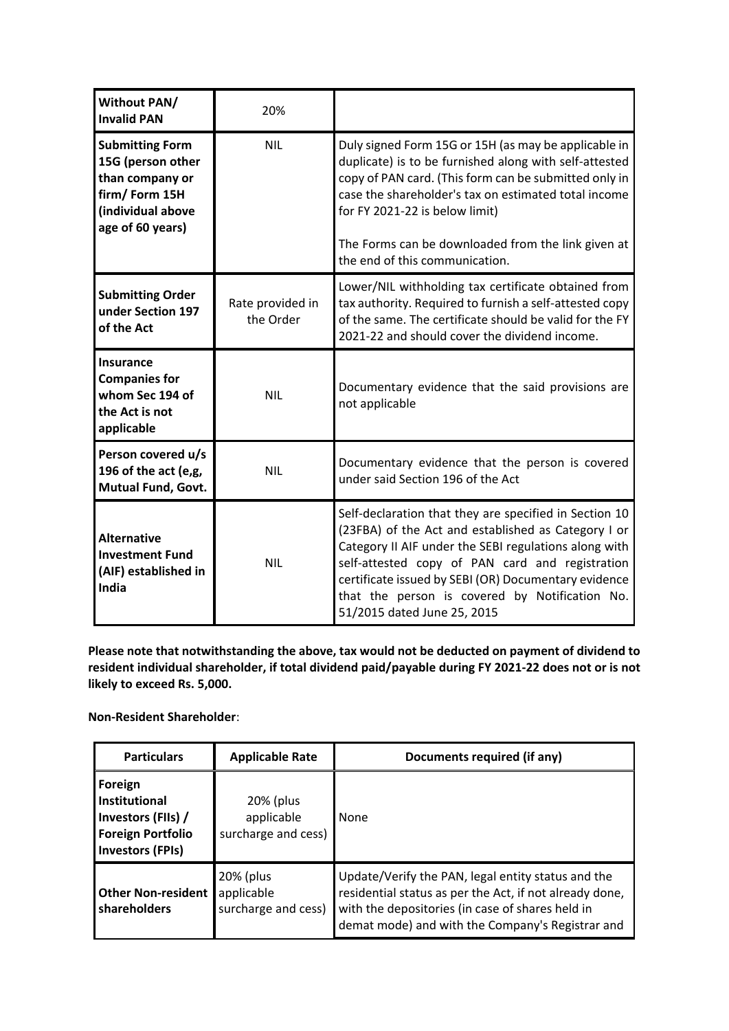| Without PAN/<br><b>Invalid PAN</b>                                                                                       | 20%                           |                                                                                                                                                                                                                                                                                                                                                                    |
|--------------------------------------------------------------------------------------------------------------------------|-------------------------------|--------------------------------------------------------------------------------------------------------------------------------------------------------------------------------------------------------------------------------------------------------------------------------------------------------------------------------------------------------------------|
| <b>Submitting Form</b><br>15G (person other<br>than company or<br>firm/Form 15H<br>(individual above<br>age of 60 years) | <b>NIL</b>                    | Duly signed Form 15G or 15H (as may be applicable in<br>duplicate) is to be furnished along with self-attested<br>copy of PAN card. (This form can be submitted only in<br>case the shareholder's tax on estimated total income<br>for FY 2021-22 is below limit)<br>The Forms can be downloaded from the link given at<br>the end of this communication.          |
| <b>Submitting Order</b><br>under Section 197<br>of the Act                                                               | Rate provided in<br>the Order | Lower/NIL withholding tax certificate obtained from<br>tax authority. Required to furnish a self-attested copy<br>of the same. The certificate should be valid for the FY<br>2021-22 and should cover the dividend income.                                                                                                                                         |
| <b>Insurance</b><br><b>Companies for</b><br>whom Sec 194 of<br>the Act is not<br>applicable                              | <b>NIL</b>                    | Documentary evidence that the said provisions are<br>not applicable                                                                                                                                                                                                                                                                                                |
| Person covered u/s<br>196 of the act (e,g,<br>Mutual Fund, Govt.                                                         | <b>NIL</b>                    | Documentary evidence that the person is covered<br>under said Section 196 of the Act                                                                                                                                                                                                                                                                               |
| <b>Alternative</b><br><b>Investment Fund</b><br>(AIF) established in<br>India                                            | <b>NIL</b>                    | Self-declaration that they are specified in Section 10<br>(23FBA) of the Act and established as Category I or<br>Category II AIF under the SEBI regulations along with<br>self-attested copy of PAN card and registration<br>certificate issued by SEBI (OR) Documentary evidence<br>that the person is covered by Notification No.<br>51/2015 dated June 25, 2015 |

**Please note that notwithstanding the above, tax would not be deducted on payment of dividend to resident individual shareholder, if total dividend paid/payable during FY 2021-22 does not or is not likely to exceed Rs. 5,000.**

**Non-Resident Shareholder**:

| <b>Particulars</b>                                                                                    | <b>Applicable Rate</b>                         | Documents required (if any)                                                                                                                                                                                           |
|-------------------------------------------------------------------------------------------------------|------------------------------------------------|-----------------------------------------------------------------------------------------------------------------------------------------------------------------------------------------------------------------------|
| Foreign<br>Institutional<br>Investors (FIIs) /<br><b>Foreign Portfolio</b><br><b>Investors (FPIs)</b> | 20% (plus<br>applicable<br>surcharge and cess) | None                                                                                                                                                                                                                  |
| <b>Other Non-resident</b><br>shareholders                                                             | 20% (plus<br>applicable<br>surcharge and cess) | Update/Verify the PAN, legal entity status and the<br>residential status as per the Act, if not already done,<br>with the depositories (in case of shares held in<br>demat mode) and with the Company's Registrar and |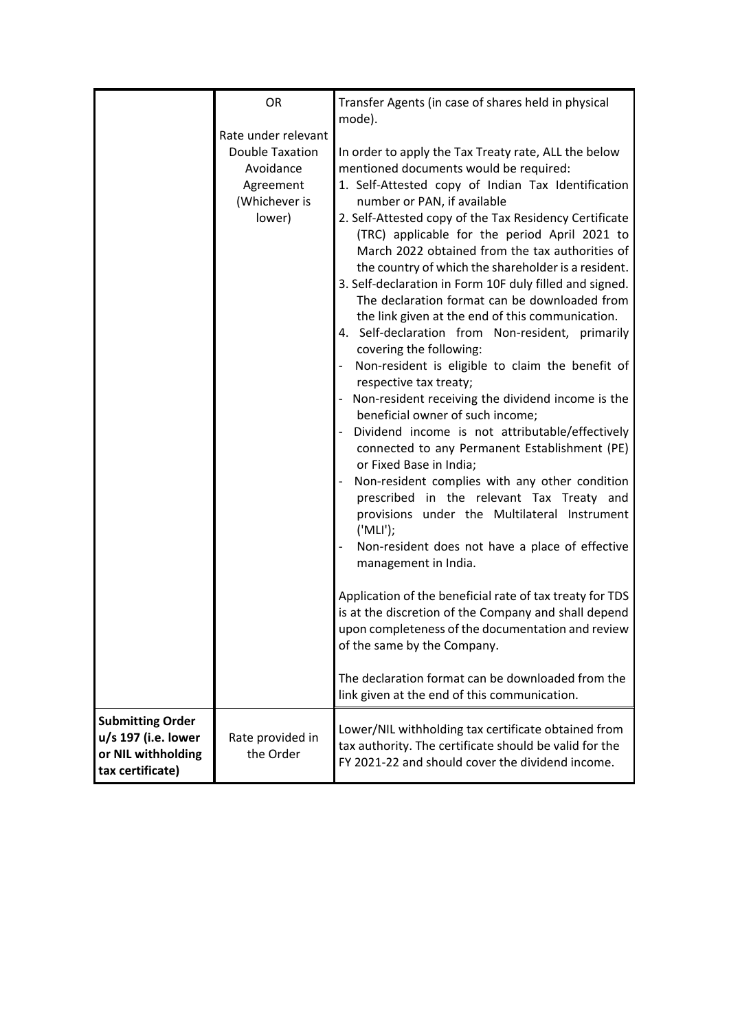|                                                                                          | OR<br>Rate under relevant<br><b>Double Taxation</b><br>Avoidance<br>Agreement<br>(Whichever is<br>lower) | Transfer Agents (in case of shares held in physical<br>mode).<br>In order to apply the Tax Treaty rate, ALL the below<br>mentioned documents would be required:<br>1. Self-Attested copy of Indian Tax Identification<br>number or PAN, if available<br>2. Self-Attested copy of the Tax Residency Certificate<br>(TRC) applicable for the period April 2021 to<br>March 2022 obtained from the tax authorities of<br>the country of which the shareholder is a resident.<br>3. Self-declaration in Form 10F duly filled and signed.<br>The declaration format can be downloaded from<br>the link given at the end of this communication.<br>4. Self-declaration from Non-resident, primarily<br>covering the following:<br>Non-resident is eligible to claim the benefit of<br>respective tax treaty;<br>Non-resident receiving the dividend income is the<br>beneficial owner of such income;<br>Dividend income is not attributable/effectively<br>connected to any Permanent Establishment (PE)<br>or Fixed Base in India;<br>Non-resident complies with any other condition<br>prescribed in the relevant Tax Treaty and<br>provisions under the Multilateral Instrument<br>('MLI');<br>Non-resident does not have a place of effective<br>management in India.<br>Application of the beneficial rate of tax treaty for TDS<br>is at the discretion of the Company and shall depend<br>upon completeness of the documentation and review<br>of the same by the Company.<br>The declaration format can be downloaded from the<br>link given at the end of this communication. |
|------------------------------------------------------------------------------------------|----------------------------------------------------------------------------------------------------------|-----------------------------------------------------------------------------------------------------------------------------------------------------------------------------------------------------------------------------------------------------------------------------------------------------------------------------------------------------------------------------------------------------------------------------------------------------------------------------------------------------------------------------------------------------------------------------------------------------------------------------------------------------------------------------------------------------------------------------------------------------------------------------------------------------------------------------------------------------------------------------------------------------------------------------------------------------------------------------------------------------------------------------------------------------------------------------------------------------------------------------------------------------------------------------------------------------------------------------------------------------------------------------------------------------------------------------------------------------------------------------------------------------------------------------------------------------------------------------------------------------------------------------------------------------------------------------------|
| <b>Submitting Order</b><br>u/s 197 (i.e. lower<br>or NIL withholding<br>tax certificate) | Rate provided in<br>the Order                                                                            | Lower/NIL withholding tax certificate obtained from<br>tax authority. The certificate should be valid for the<br>FY 2021-22 and should cover the dividend income.                                                                                                                                                                                                                                                                                                                                                                                                                                                                                                                                                                                                                                                                                                                                                                                                                                                                                                                                                                                                                                                                                                                                                                                                                                                                                                                                                                                                                 |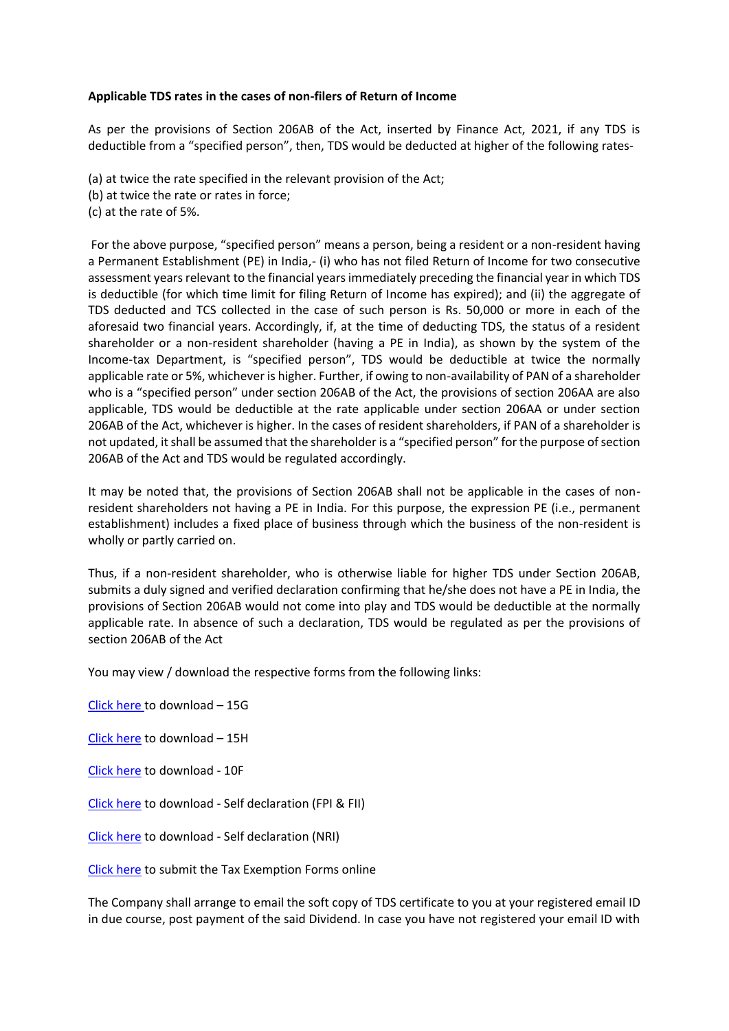## **Applicable TDS rates in the cases of non-filers of Return of Income**

As per the provisions of Section 206AB of the Act, inserted by Finance Act, 2021, if any TDS is deductible from a "specified person", then, TDS would be deducted at higher of the following rates-

- (a) at twice the rate specified in the relevant provision of the Act;
- (b) at twice the rate or rates in force;
- (c) at the rate of 5%.

For the above purpose, "specified person" means a person, being a resident or a non-resident having a Permanent Establishment (PE) in India,- (i) who has not filed Return of Income for two consecutive assessment years relevant to the financial years immediately preceding the financial year in which TDS is deductible (for which time limit for filing Return of Income has expired); and (ii) the aggregate of TDS deducted and TCS collected in the case of such person is Rs. 50,000 or more in each of the aforesaid two financial years. Accordingly, if, at the time of deducting TDS, the status of a resident shareholder or a non-resident shareholder (having a PE in India), as shown by the system of the Income-tax Department, is "specified person", TDS would be deductible at twice the normally applicable rate or 5%, whichever is higher. Further, if owing to non-availability of PAN of a shareholder who is a "specified person" under section 206AB of the Act, the provisions of section 206AA are also applicable, TDS would be deductible at the rate applicable under section 206AA or under section 206AB of the Act, whichever is higher. In the cases of resident shareholders, if PAN of a shareholder is not updated, it shall be assumed that the shareholder is a "specified person" for the purpose of section 206AB of the Act and TDS would be regulated accordingly.

It may be noted that, the provisions of Section 206AB shall not be applicable in the cases of nonresident shareholders not having a PE in India. For this purpose, the expression PE (i.e., permanent establishment) includes a fixed place of business through which the business of the non-resident is wholly or partly carried on.

Thus, if a non-resident shareholder, who is otherwise liable for higher TDS under Section 206AB, submits a duly signed and verified declaration confirming that he/she does not have a PE in India, the provisions of Section 206AB would not come into play and TDS would be deductible at the normally applicable rate. In absence of such a declaration, TDS would be regulated as per the provisions of section 206AB of the Act

You may view / download the respective forms from the following links:

[Click here](https://www.linkintime.co.in/website/GoGreen/2020/Update/Zee_Entertainment_Enterprises_Ltd/Encl_1-FORM_15G.pdf) to download – 15G

[Click here](https://www.linkintime.co.in/website/GoGreen/2020/Update/Zee_Entertainment_Enterprises_Ltd/Encl_2-FORM_NO_15H.pdf) to download – 15H

[Click here](https://www.linkintime.co.in/website/GoGreen/2020/Update/Zee_Entertainment_Enterprises_Ltd/Encl_3-Form_10F.pdf) to download - 10F

[Click here](https://www.linkintime.co.in/website/GoGreen/2020/Update/Zee_Entertainment_Enterprises_Ltd/Encl_4_Self_declaration.pdf) to download - Self declaration (FPI & FII)

[Click here](https://www.linkintime.co.in/website/GoGreen/2020/Update/Zee_Entertainment_Enterprises_Ltd/Encl_5_Self_declaration.pdf) to download - Self declaration (NRI)

[Click here](https://linkintime.co.in/formsreg/submission-of-form-15g-15h.html) to submit the Tax Exemption Forms online

The Company shall arrange to email the soft copy of TDS certificate to you at your registered email ID in due course, post payment of the said Dividend. In case you have not registered your email ID with